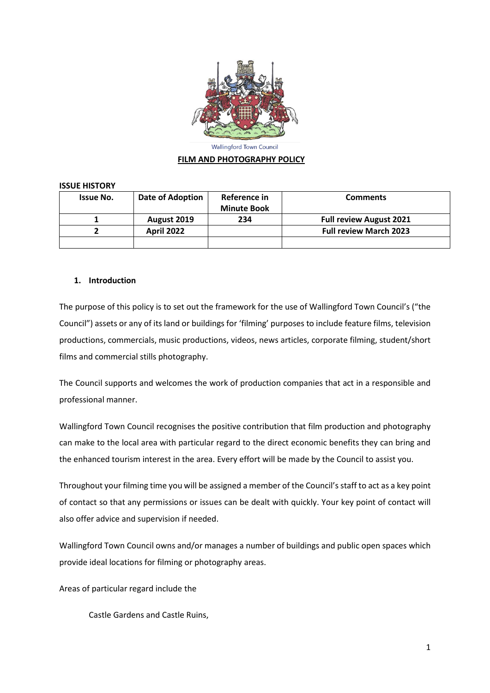

**Wallingford Town Council** 

#### **FILM AND PHOTOGRAPHY POLICY**

#### **ISSUE HISTORY**

| <b>Issue No.</b> | Date of Adoption  | Reference in<br><b>Minute Book</b> | <b>Comments</b>                |
|------------------|-------------------|------------------------------------|--------------------------------|
|                  | August 2019       | 234                                | <b>Full review August 2021</b> |
|                  | <b>April 2022</b> |                                    | <b>Full review March 2023</b>  |
|                  |                   |                                    |                                |

### **1. Introduction**

The purpose of this policy is to set out the framework for the use of Wallingford Town Council's ("the Council") assets or any of its land or buildings for 'filming' purposes to include feature films, television productions, commercials, music productions, videos, news articles, corporate filming, student/short films and commercial stills photography.

The Council supports and welcomes the work of production companies that act in a responsible and professional manner.

Wallingford Town Council recognises the positive contribution that film production and photography can make to the local area with particular regard to the direct economic benefits they can bring and the enhanced tourism interest in the area. Every effort will be made by the Council to assist you.

Throughout your filming time you will be assigned a member of the Council's staff to act as a key point of contact so that any permissions or issues can be dealt with quickly. Your key point of contact will also offer advice and supervision if needed.

Wallingford Town Council owns and/or manages a number of buildings and public open spaces which provide ideal locations for filming or photography areas.

Areas of particular regard include the

Castle Gardens and Castle Ruins,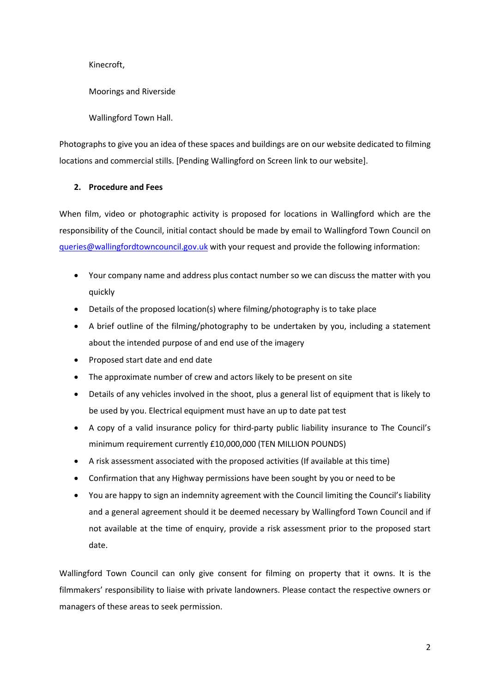Kinecroft,

Moorings and Riverside

Wallingford Town Hall.

Photographs to give you an idea of these spaces and buildings are on our website dedicated to filming locations and commercial stills. [Pending Wallingford on Screen link to our website].

## **2. Procedure and Fees**

When film, video or photographic activity is proposed for locations in Wallingford which are the responsibility of the Council, initial contact should be made by email to Wallingford Town Council on [queries@wallingfordtowncouncil.gov.uk](mailto:queries@wallingfordtowncouncil.gov.uk) with your request and provide the following information:

- Your company name and address plus contact number so we can discuss the matter with you quickly
- Details of the proposed location(s) where filming/photography is to take place
- A brief outline of the filming/photography to be undertaken by you, including a statement about the intended purpose of and end use of the imagery
- Proposed start date and end date
- The approximate number of crew and actors likely to be present on site
- Details of any vehicles involved in the shoot, plus a general list of equipment that is likely to be used by you. Electrical equipment must have an up to date pat test
- A copy of a valid insurance policy for third-party public liability insurance to The Council's minimum requirement currently £10,000,000 (TEN MILLION POUNDS)
- A risk assessment associated with the proposed activities (If available at this time)
- Confirmation that any Highway permissions have been sought by you or need to be
- You are happy to sign an indemnity agreement with the Council limiting the Council's liability and a general agreement should it be deemed necessary by Wallingford Town Council and if not available at the time of enquiry, provide a risk assessment prior to the proposed start date.

Wallingford Town Council can only give consent for filming on property that it owns. It is the filmmakers' responsibility to liaise with private landowners. Please contact the respective owners or managers of these areas to seek permission.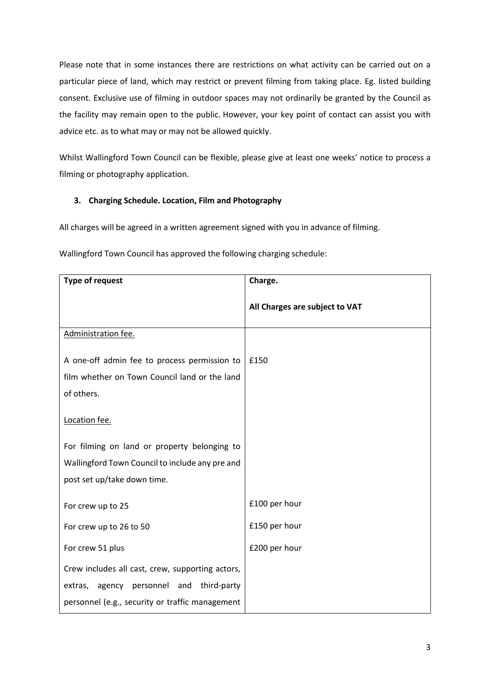Please note that in some instances there are restrictions on what activity can be carried out on a particular piece of land, which may restrict or prevent filming from taking place. Eg. listed building consent. Exclusive use of filming in outdoor spaces may not ordinarily be granted by the Council as the facility may remain open to the public. However, your key point of contact can assist you with advice etc. as to what may or may not be allowed quickly.

Whilst Wallingford Town Council can be flexible, please give at least one weeks' notice to process a filming or photography application.

# **3. Charging Schedule. Location, Film and Photography**

All charges will be agreed in a written agreement signed with you in advance of filming.

| <b>Type of request</b>                                                                        | Charge.                        |
|-----------------------------------------------------------------------------------------------|--------------------------------|
|                                                                                               | All Charges are subject to VAT |
| Administration fee.                                                                           |                                |
| A one-off admin fee to process permission to<br>film whether on Town Council land or the land | £150                           |
| of others.                                                                                    |                                |
| Location fee.                                                                                 |                                |
| For filming on land or property belonging to                                                  |                                |
| Wallingford Town Council to include any pre and                                               |                                |
| post set up/take down time.                                                                   |                                |
| For crew up to 25                                                                             | £100 per hour                  |
| For crew up to 26 to 50                                                                       | £150 per hour                  |
| For crew 51 plus                                                                              | £200 per hour                  |
| Crew includes all cast, crew, supporting actors,                                              |                                |
| extras, agency personnel and third-party                                                      |                                |
| personnel (e.g., security or traffic management                                               |                                |

Wallingford Town Council has approved the following charging schedule: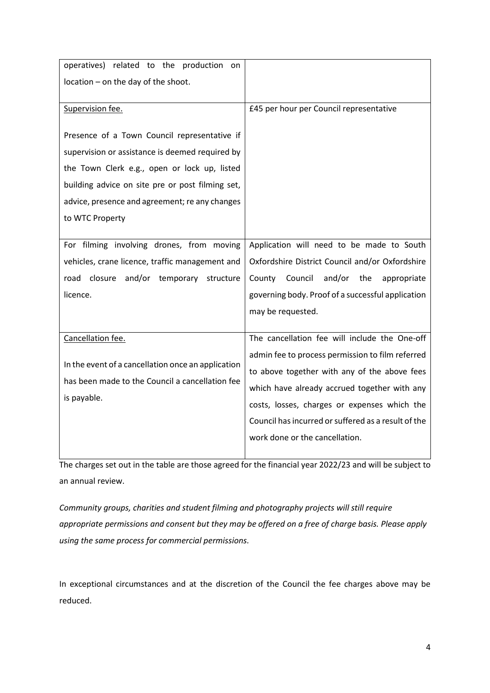| operatives) related to the production on                                                                                                                                                                                                                                 |                                                     |
|--------------------------------------------------------------------------------------------------------------------------------------------------------------------------------------------------------------------------------------------------------------------------|-----------------------------------------------------|
| location - on the day of the shoot.                                                                                                                                                                                                                                      |                                                     |
|                                                                                                                                                                                                                                                                          |                                                     |
| Supervision fee.                                                                                                                                                                                                                                                         | £45 per hour per Council representative             |
| Presence of a Town Council representative if<br>supervision or assistance is deemed required by<br>the Town Clerk e.g., open or lock up, listed<br>building advice on site pre or post filming set,<br>advice, presence and agreement; re any changes<br>to WTC Property |                                                     |
| For filming involving drones, from moving                                                                                                                                                                                                                                | Application will need to be made to South           |
| vehicles, crane licence, traffic management and                                                                                                                                                                                                                          | Oxfordshire District Council and/or Oxfordshire     |
| road closure and/or temporary structure                                                                                                                                                                                                                                  | and/or the<br>County Council<br>appropriate         |
| licence.                                                                                                                                                                                                                                                                 | governing body. Proof of a successful application   |
|                                                                                                                                                                                                                                                                          | may be requested.                                   |
|                                                                                                                                                                                                                                                                          |                                                     |
| Cancellation fee.                                                                                                                                                                                                                                                        | The cancellation fee will include the One-off       |
|                                                                                                                                                                                                                                                                          | admin fee to process permission to film referred    |
| In the event of a cancellation once an application                                                                                                                                                                                                                       | to above together with any of the above fees        |
| has been made to the Council a cancellation fee                                                                                                                                                                                                                          | which have already accrued together with any        |
| is payable.                                                                                                                                                                                                                                                              | costs, losses, charges or expenses which the        |
|                                                                                                                                                                                                                                                                          | Council has incurred or suffered as a result of the |
|                                                                                                                                                                                                                                                                          | work done or the cancellation.                      |
|                                                                                                                                                                                                                                                                          |                                                     |

The charges set out in the table are those agreed for the financial year 2022/23 and will be subject to an annual review.

*Community groups, charities and student filming and photography projects will still require appropriate permissions and consent but they may be offered on a free of charge basis. Please apply using the same process for commercial permissions.*

In exceptional circumstances and at the discretion of the Council the fee charges above may be reduced.